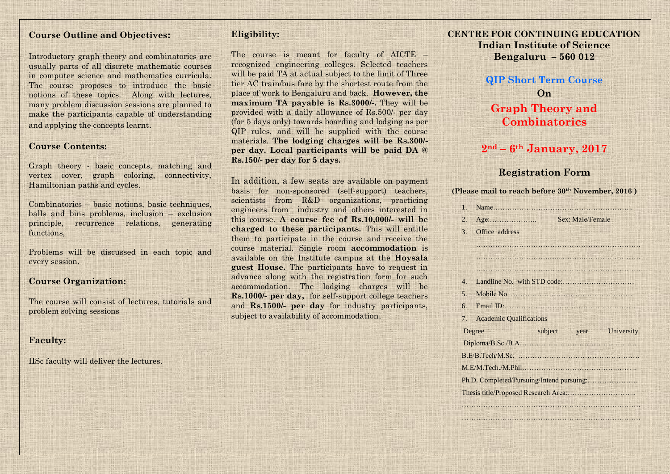## **Course Outline and Objectives:**

Introductory graph theory and combinatorics are usually parts of all discrete mathematic courses in computer science and mathematics curricula. The course proposes to introduce the basic notions of these topics. Along with lectures, many problem discussion sessions are planned to make the participants capable of understanding and applying the concepts learnt.

#### **Course Contents:**

Graph theory - basic concepts, matching and vertex cover, graph coloring, connectivity, Hamiltonian paths and cycles.

Combinatorics – basic notions, basic techniques, balls and bins problems, inclusion – exclusion principle, recurrence relations, generating functions,

Problems will be discussed in each topic and every session.

## **Course Organization:**

The course will consist of lectures, tutorials and problem solving sessions

#### **Faculty:**

IISc faculty will deliver the lectures.

## **Eligibility:**

The course is meant for faculty of AICTE – recognized engineering colleges. Selected teachers will be paid TA at actual subject to the limit of Three tier AC train/bus fare by the shortest route from the place of work to Bengaluru and back. **However, the maximum TA payable is Rs.3000/-.** They will be provided with a daily allowance of Rs.500/- per day (for 5 days only) towards boarding and lodging as per QIP rules, and will be supplied with the course materials. **The lodging charges will be Rs.300/ per day. Local participants will be paid DA @ Rs.150/- per day for 5 days.** 

In addition, a few seats are available on payment basis for non-sponsored (self-support) teachers, scientists from R&D organizations, practicing engineers from industry and others interested in this course. **A course fee of Rs.10,000/- will be charged to these participants.** This will entitle them to participate in the course and receive the course material. Single room **accommodation** is available on the Institute campus at the **Hoysala guest House.** The participants have to request in advance along with the registration form for such accommodation. The lodging charges will be **Rs.1000/- per day,** for self-support college teachers and **Rs.1500/- per day** for industry participants, subject to availability of accommodation.

**CENTRE FOR CONTINUING EDUCATION Indian Institute of Science Bengaluru – 560 012**

## **QIP Short Term Course On**

## **Graph Theory and Combinatorics**

## **2nd – 6th January, 2017**

## **Registration Form**

| (Please mail to reach before 30 <sup>th</sup> November, 2016) |  |  |  |  |
|---------------------------------------------------------------|--|--|--|--|
|---------------------------------------------------------------|--|--|--|--|

|                   | Sex: Male/Female |
|-------------------|------------------|
| 3. Office address |                  |

…………………………………………………………… ………………………….......……….……………………

|  | 7. Academic Qualifications |  |      |            |
|--|----------------------------|--|------|------------|
|  | subject<br>Degree          |  | vear | University |
|  |                            |  |      |            |
|  |                            |  |      |            |
|  |                            |  |      |            |
|  |                            |  |      |            |
|  |                            |  |      |            |
|  |                            |  |      |            |

………………………………………………………………… …………………………………………………………………